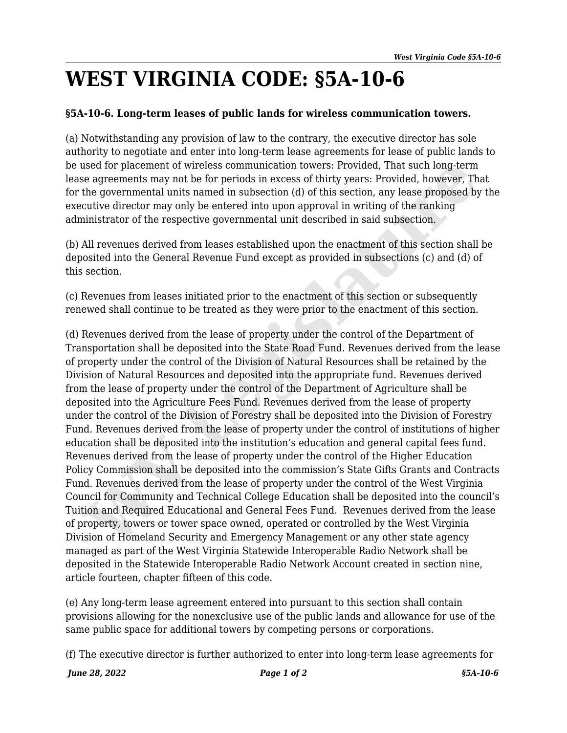## **WEST VIRGINIA CODE: §5A-10-6**

## **§5A-10-6. Long-term leases of public lands for wireless communication towers.**

(a) Notwithstanding any provision of law to the contrary, the executive director has sole authority to negotiate and enter into long-term lease agreements for lease of public lands to be used for placement of wireless communication towers: Provided, That such long-term lease agreements may not be for periods in excess of thirty years: Provided, however, That for the governmental units named in subsection (d) of this section, any lease proposed by the executive director may only be entered into upon approval in writing of the ranking administrator of the respective governmental unit described in said subsection.

(b) All revenues derived from leases established upon the enactment of this section shall be deposited into the General Revenue Fund except as provided in subsections (c) and (d) of this section.

(c) Revenues from leases initiated prior to the enactment of this section or subsequently renewed shall continue to be treated as they were prior to the enactment of this section.

(d) Revenues derived from the lease of property under the control of the Department of Transportation shall be deposited into the State Road Fund. Revenues derived from the lease of property under the control of the Division of Natural Resources shall be retained by the Division of Natural Resources and deposited into the appropriate fund. Revenues derived from the lease of property under the control of the Department of Agriculture shall be deposited into the Agriculture Fees Fund. Revenues derived from the lease of property under the control of the Division of Forestry shall be deposited into the Division of Forestry Fund. Revenues derived from the lease of property under the control of institutions of higher education shall be deposited into the institution's education and general capital fees fund. Revenues derived from the lease of property under the control of the Higher Education Policy Commission shall be deposited into the commission's State Gifts Grants and Contracts Fund. Revenues derived from the lease of property under the control of the West Virginia Council for Community and Technical College Education shall be deposited into the council's Tuition and Required Educational and General Fees Fund. Revenues derived from the lease of property, towers or tower space owned, operated or controlled by the West Virginia Division of Homeland Security and Emergency Management or any other state agency managed as part of the West Virginia Statewide Interoperable Radio Network shall be deposited in the Statewide Interoperable Radio Network Account created in section nine, article fourteen, chapter fifteen of this code. used for placement of wireless communication towers: Provided, That such long-term<br>are a greenents may not be for periods in excess of thirty eyears. Provided, however, The governmental units named in subsection (d) of thi

(e) Any long-term lease agreement entered into pursuant to this section shall contain provisions allowing for the nonexclusive use of the public lands and allowance for use of the same public space for additional towers by competing persons or corporations.

(f) The executive director is further authorized to enter into long-term lease agreements for